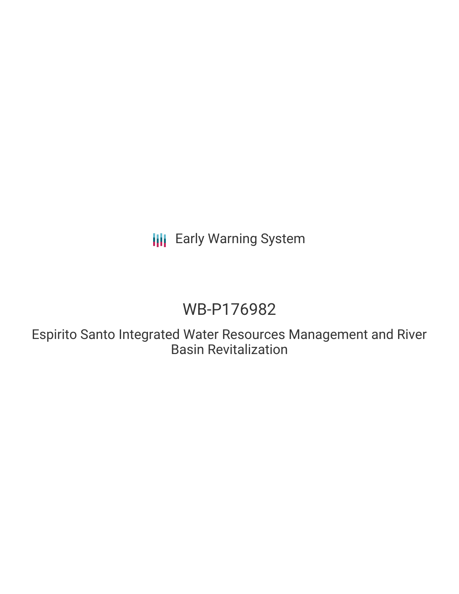# **III** Early Warning System

# WB-P176982

Espirito Santo Integrated Water Resources Management and River Basin Revitalization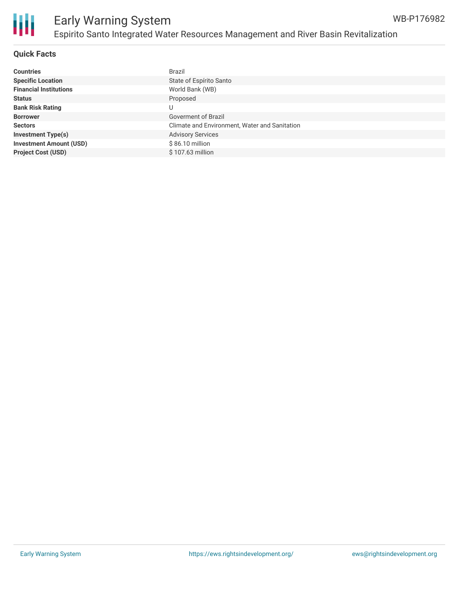

### **Quick Facts**

| <b>Countries</b>               | Brazil                                        |
|--------------------------------|-----------------------------------------------|
| <b>Specific Location</b>       | State of Espírito Santo                       |
| <b>Financial Institutions</b>  | World Bank (WB)                               |
| <b>Status</b>                  | Proposed                                      |
| <b>Bank Risk Rating</b>        | U                                             |
| <b>Borrower</b>                | Goverment of Brazil                           |
| <b>Sectors</b>                 | Climate and Environment, Water and Sanitation |
| <b>Investment Type(s)</b>      | <b>Advisory Services</b>                      |
| <b>Investment Amount (USD)</b> | \$86.10 million                               |
| <b>Project Cost (USD)</b>      | \$107.63 million                              |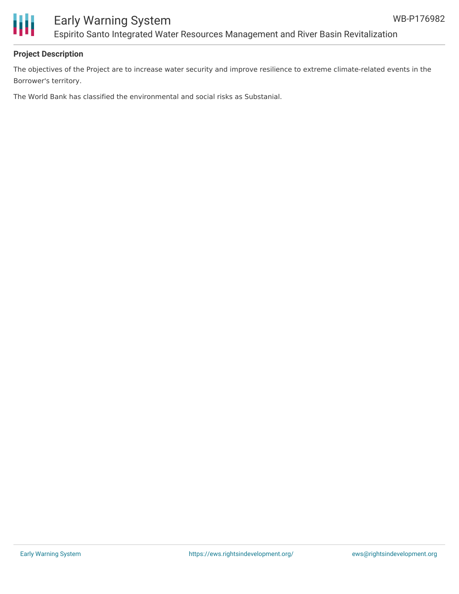

### Early Warning System Espirito Santo Integrated Water Resources Management and River Basin Revitalization

### **Project Description**

The objectives of the Project are to increase water security and improve resilience to extreme climate-related events in the Borrower's territory.

The World Bank has classified the environmental and social risks as Substanial.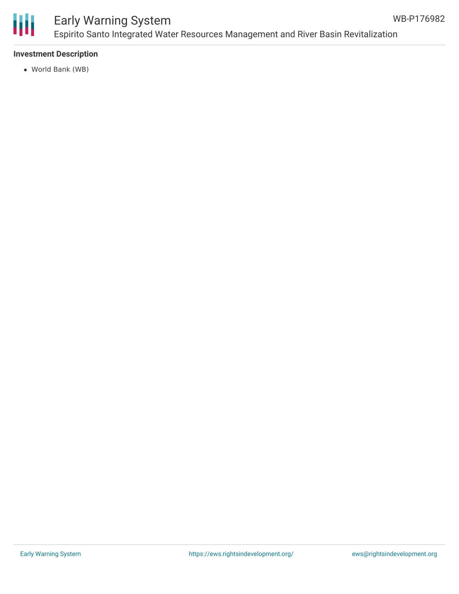

## Early Warning System Espirito Santo Integrated Water Resources Management and River Basin Revitalization

### **Investment Description**

World Bank (WB)